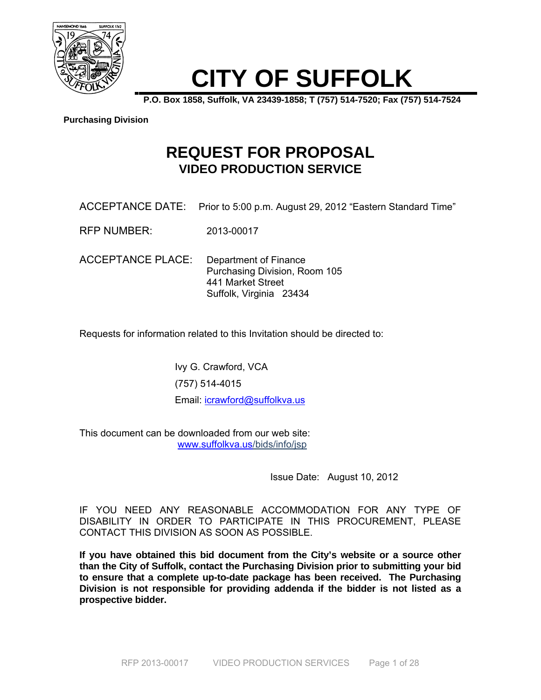

# **CITY OF SUFFOLK**

**P.O. Box 1858, Suffolk, VA 23439-1858; T (757) 514-7520; Fax (757) 514-7524** 

#### **Purchasing Division**

# **REQUEST FOR PROPOSAL VIDEO PRODUCTION SERVICE**

- ACCEPTANCE DATE: Prior to 5:00 p.m. August 29, 2012 "Eastern Standard Time"
- RFP NUMBER: 2013-00017

ACCEPTANCE PLACE: Department of Finance Purchasing Division, Room 105 441 Market Street Suffolk, Virginia 23434

Requests for information related to this Invitation should be directed to:

Ivy G. Crawford, VCA (757) 514-4015 Email: icrawford@suffolkva.us

This document can be downloaded from our web site: www.suffolkva.us/bids/info/jsp

Issue Date: August 10, 2012

IF YOU NEED ANY REASONABLE ACCOMMODATION FOR ANY TYPE OF DISABILITY IN ORDER TO PARTICIPATE IN THIS PROCUREMENT, PLEASE CONTACT THIS DIVISION AS SOON AS POSSIBLE.

**If you have obtained this bid document from the City's website or a source other than the City of Suffolk, contact the Purchasing Division prior to submitting your bid to ensure that a complete up-to-date package has been received. The Purchasing Division is not responsible for providing addenda if the bidder is not listed as a prospective bidder.**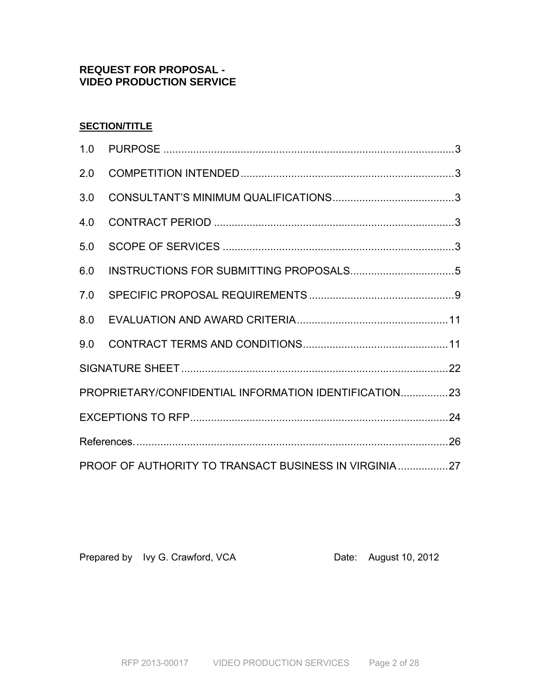# **REQUEST FOR PROPOSAL - VIDEO PRODUCTION SERVICE**

# **SECTION/TITLE**

| 1.0                                                   |  |  |
|-------------------------------------------------------|--|--|
| 2.0                                                   |  |  |
| 3.0                                                   |  |  |
| 4.0                                                   |  |  |
| 5.0                                                   |  |  |
| 6.0                                                   |  |  |
| 7.0                                                   |  |  |
| 8.0                                                   |  |  |
|                                                       |  |  |
|                                                       |  |  |
| PROPRIETARY/CONFIDENTIAL INFORMATION IDENTIFICATION23 |  |  |
|                                                       |  |  |
|                                                       |  |  |
| PROOF OF AUTHORITY TO TRANSACT BUSINESS IN VIRGINIA27 |  |  |

Prepared by Ivy G. Crawford, VCA Date: August 10, 2012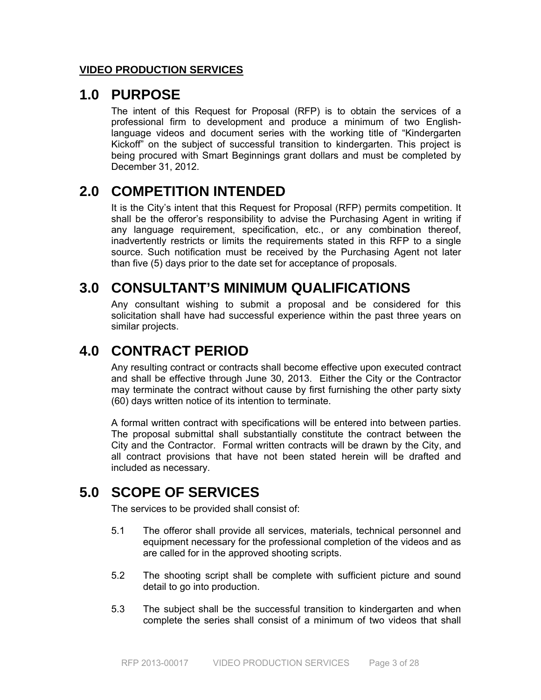# **VIDEO PRODUCTION SERVICES**

# **1.0 PURPOSE**

The intent of this Request for Proposal (RFP) is to obtain the services of a professional firm to development and produce a minimum of two Englishlanguage videos and document series with the working title of "Kindergarten Kickoff" on the subject of successful transition to kindergarten. This project is being procured with Smart Beginnings grant dollars and must be completed by December 31, 2012.

# **2.0 COMPETITION INTENDED**

It is the City's intent that this Request for Proposal (RFP) permits competition. It shall be the offeror's responsibility to advise the Purchasing Agent in writing if any language requirement, specification, etc., or any combination thereof, inadvertently restricts or limits the requirements stated in this RFP to a single source. Such notification must be received by the Purchasing Agent not later than five (5) days prior to the date set for acceptance of proposals.

# **3.0 CONSULTANT'S MINIMUM QUALIFICATIONS**

Any consultant wishing to submit a proposal and be considered for this solicitation shall have had successful experience within the past three years on similar projects.

# **4.0 CONTRACT PERIOD**

Any resulting contract or contracts shall become effective upon executed contract and shall be effective through June 30, 2013. Either the City or the Contractor may terminate the contract without cause by first furnishing the other party sixty (60) days written notice of its intention to terminate.

A formal written contract with specifications will be entered into between parties. The proposal submittal shall substantially constitute the contract between the City and the Contractor. Formal written contracts will be drawn by the City, and all contract provisions that have not been stated herein will be drafted and included as necessary.

# **5.0 SCOPE OF SERVICES**

The services to be provided shall consist of:

- 5.1 The offeror shall provide all services, materials, technical personnel and equipment necessary for the professional completion of the videos and as are called for in the approved shooting scripts.
- 5.2 The shooting script shall be complete with sufficient picture and sound detail to go into production.
- 5.3 The subject shall be the successful transition to kindergarten and when complete the series shall consist of a minimum of two videos that shall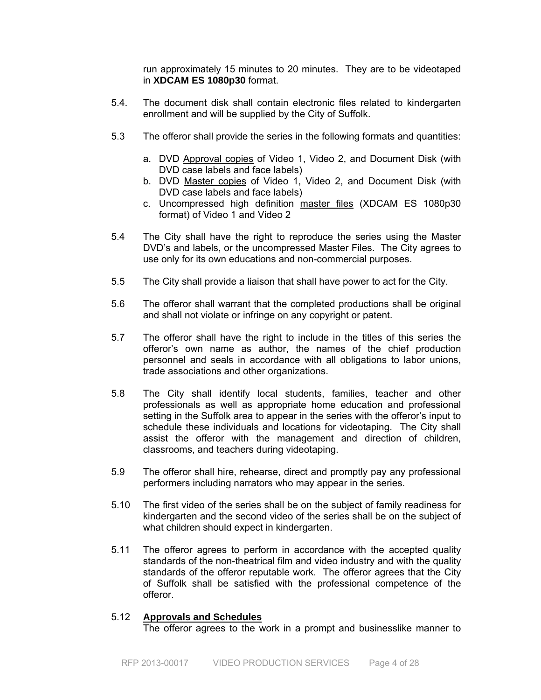run approximately 15 minutes to 20 minutes. They are to be videotaped in **XDCAM ES 1080p30** format.

- 5.4. The document disk shall contain electronic files related to kindergarten enrollment and will be supplied by the City of Suffolk.
- 5.3 The offeror shall provide the series in the following formats and quantities:
	- a. DVD Approval copies of Video 1, Video 2, and Document Disk (with DVD case labels and face labels)
	- b. DVD Master copies of Video 1, Video 2, and Document Disk (with DVD case labels and face labels)
	- c. Uncompressed high definition master files (XDCAM ES 1080p30 format) of Video 1 and Video 2
- 5.4 The City shall have the right to reproduce the series using the Master DVD's and labels, or the uncompressed Master Files. The City agrees to use only for its own educations and non-commercial purposes.
- 5.5 The City shall provide a liaison that shall have power to act for the City.
- 5.6 The offeror shall warrant that the completed productions shall be original and shall not violate or infringe on any copyright or patent.
- 5.7 The offeror shall have the right to include in the titles of this series the offeror's own name as author, the names of the chief production personnel and seals in accordance with all obligations to labor unions, trade associations and other organizations.
- 5.8 The City shall identify local students, families, teacher and other professionals as well as appropriate home education and professional setting in the Suffolk area to appear in the series with the offeror's input to schedule these individuals and locations for videotaping. The City shall assist the offeror with the management and direction of children, classrooms, and teachers during videotaping.
- 5.9 The offeror shall hire, rehearse, direct and promptly pay any professional performers including narrators who may appear in the series.
- 5.10 The first video of the series shall be on the subject of family readiness for kindergarten and the second video of the series shall be on the subject of what children should expect in kindergarten.
- 5.11 The offeror agrees to perform in accordance with the accepted quality standards of the non-theatrical film and video industry and with the quality standards of the offeror reputable work. The offeror agrees that the City of Suffolk shall be satisfied with the professional competence of the offeror.

#### 5.12 **Approvals and Schedules**

The offeror agrees to the work in a prompt and businesslike manner to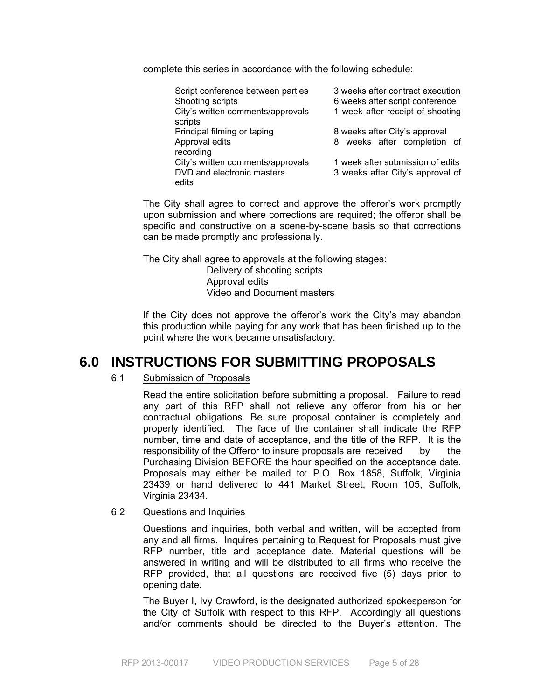complete this series in accordance with the following schedule:

| Script conference between parties<br>Shooting scripts<br>City's written comments/approvals<br>scripts | 3 weeks after contract execution<br>6 weeks after script conference<br>1 week after receipt of shooting |
|-------------------------------------------------------------------------------------------------------|---------------------------------------------------------------------------------------------------------|
| Principal filming or taping<br>Approval edits<br>recording                                            | 8 weeks after City's approval<br>8 weeks after completion of                                            |
| City's written comments/approvals<br>DVD and electronic masters<br>edits                              | 1 week after submission of edits<br>3 weeks after City's approval of                                    |

The City shall agree to correct and approve the offeror's work promptly upon submission and where corrections are required; the offeror shall be specific and constructive on a scene-by-scene basis so that corrections can be made promptly and professionally.

The City shall agree to approvals at the following stages:

 Delivery of shooting scripts Approval edits Video and Document masters

 If the City does not approve the offeror's work the City's may abandon this production while paying for any work that has been finished up to the point where the work became unsatisfactory.

# **6.0 INSTRUCTIONS FOR SUBMITTING PROPOSALS**

# 6.1 Submission of Proposals

 Read the entire solicitation before submitting a proposal. Failure to read any part of this RFP shall not relieve any offeror from his or her contractual obligations. Be sure proposal container is completely and properly identified. The face of the container shall indicate the RFP number, time and date of acceptance, and the title of the RFP. It is the responsibility of the Offeror to insure proposals are received by the Purchasing Division BEFORE the hour specified on the acceptance date. Proposals may either be mailed to: P.O. Box 1858, Suffolk, Virginia 23439 or hand delivered to 441 Market Street, Room 105, Suffolk, Virginia 23434.

#### 6.2 Questions and Inquiries

 Questions and inquiries, both verbal and written, will be accepted from any and all firms. Inquires pertaining to Request for Proposals must give RFP number, title and acceptance date. Material questions will be answered in writing and will be distributed to all firms who receive the RFP provided, that all questions are received five (5) days prior to opening date.

 The Buyer I, Ivy Crawford, is the designated authorized spokesperson for the City of Suffolk with respect to this RFP. Accordingly all questions and/or comments should be directed to the Buyer's attention. The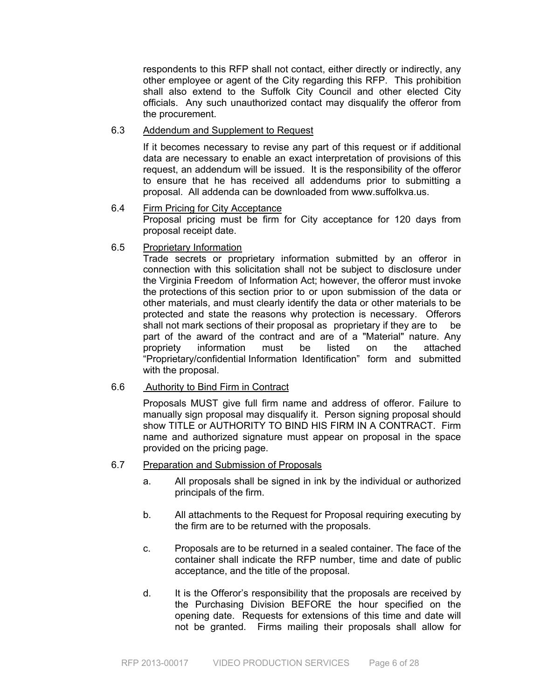respondents to this RFP shall not contact, either directly or indirectly, any other employee or agent of the City regarding this RFP. This prohibition shall also extend to the Suffolk City Council and other elected City officials. Any such unauthorized contact may disqualify the offeror from the procurement.

# 6.3 Addendum and Supplement to Request

 If it becomes necessary to revise any part of this request or if additional data are necessary to enable an exact interpretation of provisions of this request, an addendum will be issued. It is the responsibility of the offeror to ensure that he has received all addendums prior to submitting a proposal. All addenda can be downloaded from www.suffolkva.us.

- 6.4 Firm Pricing for City Acceptance Proposal pricing must be firm for City acceptance for 120 days from proposal receipt date.
- 6.5 Proprietary Information

 Trade secrets or proprietary information submitted by an offeror in connection with this solicitation shall not be subject to disclosure under the Virginia Freedom of Information Act; however, the offeror must invoke the protections of this section prior to or upon submission of the data or other materials, and must clearly identify the data or other materials to be protected and state the reasons why protection is necessary. Offerors shall not mark sections of their proposal as proprietary if they are to be part of the award of the contract and are of a "Material" nature. Any propriety information must be listed on the attached "Proprietary/confidential Information Identification" form and submitted with the proposal.

### 6.6 Authority to Bind Firm in Contract

 Proposals MUST give full firm name and address of offeror. Failure to manually sign proposal may disqualify it. Person signing proposal should show TITLE or AUTHORITY TO BIND HIS FIRM IN A CONTRACT. Firm name and authorized signature must appear on proposal in the space provided on the pricing page.

### 6.7 Preparation and Submission of Proposals

- a. All proposals shall be signed in ink by the individual or authorized principals of the firm.
- b. All attachments to the Request for Proposal requiring executing by the firm are to be returned with the proposals.
- c. Proposals are to be returned in a sealed container. The face of the container shall indicate the RFP number, time and date of public acceptance, and the title of the proposal.
- d. It is the Offeror's responsibility that the proposals are received by the Purchasing Division BEFORE the hour specified on the opening date. Requests for extensions of this time and date will not be granted. Firms mailing their proposals shall allow for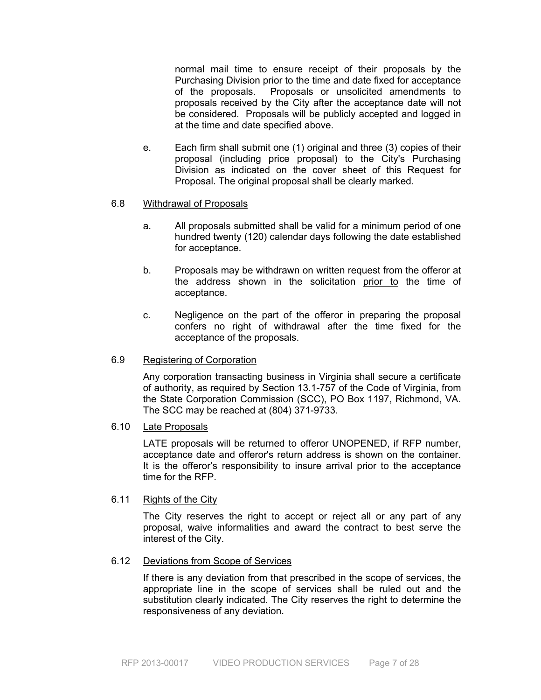normal mail time to ensure receipt of their proposals by the Purchasing Division prior to the time and date fixed for acceptance of the proposals. Proposals or unsolicited amendments to proposals received by the City after the acceptance date will not be considered. Proposals will be publicly accepted and logged in at the time and date specified above.

e. Each firm shall submit one (1) original and three (3) copies of their proposal (including price proposal) to the City's Purchasing Division as indicated on the cover sheet of this Request for Proposal. The original proposal shall be clearly marked.

### 6.8 Withdrawal of Proposals

- a. All proposals submitted shall be valid for a minimum period of one hundred twenty (120) calendar days following the date established for acceptance.
- b. Proposals may be withdrawn on written request from the offeror at the address shown in the solicitation prior to the time of acceptance.
- c. Negligence on the part of the offeror in preparing the proposal confers no right of withdrawal after the time fixed for the acceptance of the proposals.

# 6.9 Registering of Corporation

 Any corporation transacting business in Virginia shall secure a certificate of authority, as required by Section 13.1-757 of the Code of Virginia, from the State Corporation Commission (SCC), PO Box 1197, Richmond, VA. The SCC may be reached at (804) 371-9733.

# 6.10 Late Proposals

LATE proposals will be returned to offeror UNOPENED, if RFP number, acceptance date and offeror's return address is shown on the container. It is the offeror's responsibility to insure arrival prior to the acceptance time for the RFP.

# 6.11 Rights of the City

 The City reserves the right to accept or reject all or any part of any proposal, waive informalities and award the contract to best serve the interest of the City.

### 6.12 Deviations from Scope of Services

If there is any deviation from that prescribed in the scope of services, the appropriate line in the scope of services shall be ruled out and the substitution clearly indicated. The City reserves the right to determine the responsiveness of any deviation.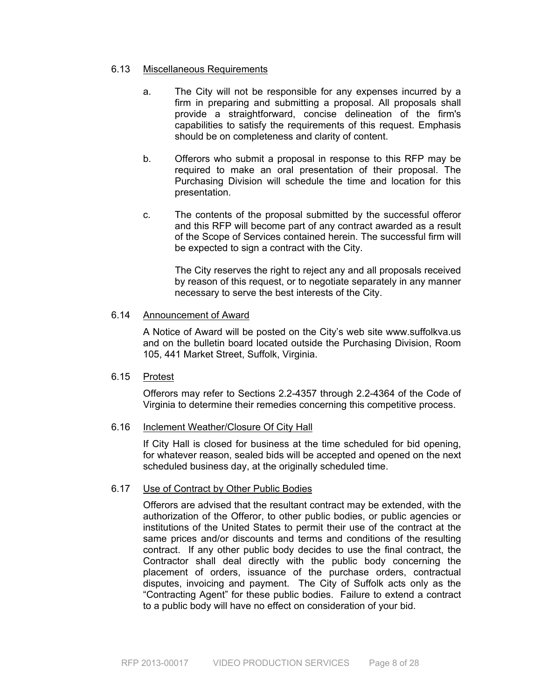# 6.13 Miscellaneous Requirements

- a. The City will not be responsible for any expenses incurred by a firm in preparing and submitting a proposal. All proposals shall provide a straightforward, concise delineation of the firm's capabilities to satisfy the requirements of this request. Emphasis should be on completeness and clarity of content.
- b. Offerors who submit a proposal in response to this RFP may be required to make an oral presentation of their proposal. The Purchasing Division will schedule the time and location for this presentation.
- c. The contents of the proposal submitted by the successful offeror and this RFP will become part of any contract awarded as a result of the Scope of Services contained herein. The successful firm will be expected to sign a contract with the City.

 The City reserves the right to reject any and all proposals received by reason of this request, or to negotiate separately in any manner necessary to serve the best interests of the City.

# 6.14 Announcement of Award

 A Notice of Award will be posted on the City's web site www.suffolkva.us and on the bulletin board located outside the Purchasing Division, Room 105, 441 Market Street, Suffolk, Virginia.

# 6.15 Protest

 Offerors may refer to Sections 2.2-4357 through 2.2-4364 of the Code of Virginia to determine their remedies concerning this competitive process.

# 6.16 Inclement Weather/Closure Of City Hall

 If City Hall is closed for business at the time scheduled for bid opening, for whatever reason, sealed bids will be accepted and opened on the next scheduled business day, at the originally scheduled time.

# 6.17 Use of Contract by Other Public Bodies

 Offerors are advised that the resultant contract may be extended, with the authorization of the Offeror, to other public bodies, or public agencies or institutions of the United States to permit their use of the contract at the same prices and/or discounts and terms and conditions of the resulting contract. If any other public body decides to use the final contract, the Contractor shall deal directly with the public body concerning the placement of orders, issuance of the purchase orders, contractual disputes, invoicing and payment. The City of Suffolk acts only as the "Contracting Agent" for these public bodies. Failure to extend a contract to a public body will have no effect on consideration of your bid.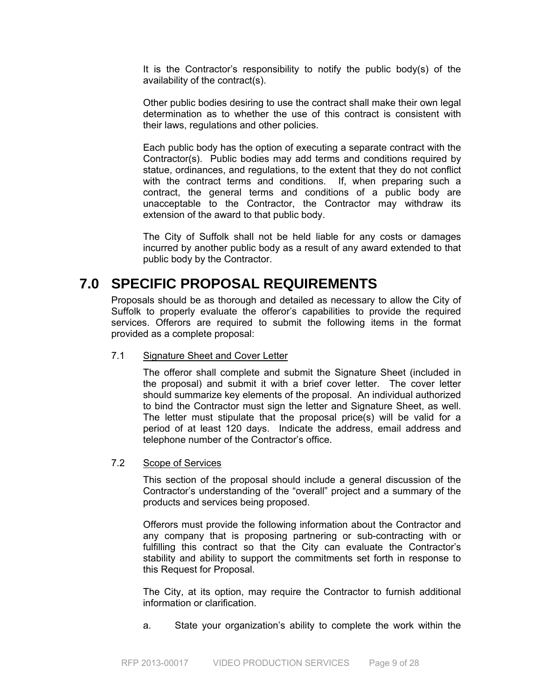It is the Contractor's responsibility to notify the public body(s) of the availability of the contract(s).

 Other public bodies desiring to use the contract shall make their own legal determination as to whether the use of this contract is consistent with their laws, regulations and other policies.

 Each public body has the option of executing a separate contract with the Contractor(s). Public bodies may add terms and conditions required by statue, ordinances, and regulations, to the extent that they do not conflict with the contract terms and conditions. If, when preparing such a contract, the general terms and conditions of a public body are unacceptable to the Contractor, the Contractor may withdraw its extension of the award to that public body.

 The City of Suffolk shall not be held liable for any costs or damages incurred by another public body as a result of any award extended to that public body by the Contractor.

# **7.0 SPECIFIC PROPOSAL REQUIREMENTS**

Proposals should be as thorough and detailed as necessary to allow the City of Suffolk to properly evaluate the offeror's capabilities to provide the required services. Offerors are required to submit the following items in the format provided as a complete proposal:

### 7.1 Signature Sheet and Cover Letter

 The offeror shall complete and submit the Signature Sheet (included in the proposal) and submit it with a brief cover letter. The cover letter should summarize key elements of the proposal. An individual authorized to bind the Contractor must sign the letter and Signature Sheet, as well. The letter must stipulate that the proposal price(s) will be valid for a period of at least 120 days. Indicate the address, email address and telephone number of the Contractor's office.

### 7.2 Scope of Services

 This section of the proposal should include a general discussion of the Contractor's understanding of the "overall" project and a summary of the products and services being proposed.

Offerors must provide the following information about the Contractor and any company that is proposing partnering or sub-contracting with or fulfilling this contract so that the City can evaluate the Contractor's stability and ability to support the commitments set forth in response to this Request for Proposal.

 The City, at its option, may require the Contractor to furnish additional information or clarification.

a. State your organization's ability to complete the work within the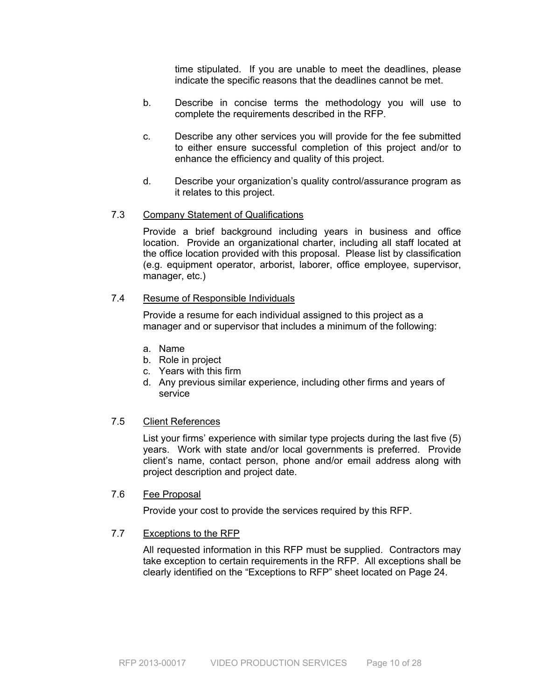time stipulated. If you are unable to meet the deadlines, please indicate the specific reasons that the deadlines cannot be met.

- b. Describe in concise terms the methodology you will use to complete the requirements described in the RFP.
- c. Describe any other services you will provide for the fee submitted to either ensure successful completion of this project and/or to enhance the efficiency and quality of this project.
- d. Describe your organization's quality control/assurance program as it relates to this project.

# 7.3 Company Statement of Qualifications

 Provide a brief background including years in business and office location. Provide an organizational charter, including all staff located at the office location provided with this proposal. Please list by classification (e.g. equipment operator, arborist, laborer, office employee, supervisor, manager, etc.)

# 7.4 Resume of Responsible Individuals

Provide a resume for each individual assigned to this project as a manager and or supervisor that includes a minimum of the following:

- a. Name
- b. Role in project
- c. Years with this firm
- d. Any previous similar experience, including other firms and years of service

# 7.5 Client References

 List your firms' experience with similar type projects during the last five (5) years. Work with state and/or local governments is preferred. Provide client's name, contact person, phone and/or email address along with project description and project date.

#### 7.6 Fee Proposal

Provide your cost to provide the services required by this RFP.

### 7.7 Exceptions to the RFP

All requested information in this RFP must be supplied. Contractors may take exception to certain requirements in the RFP. All exceptions shall be clearly identified on the "Exceptions to RFP" sheet located on Page 24.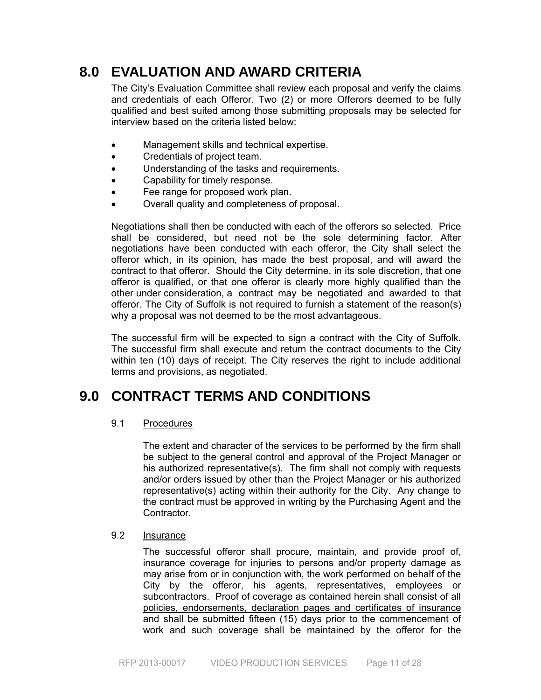# **8.0 EVALUATION AND AWARD CRITERIA**

The City's Evaluation Committee shall review each proposal and verify the claims and credentials of each Offeror. Two (2) or more Offerors deemed to be fully qualified and best suited among those submitting proposals may be selected for interview based on the criteria listed below:

- Management skills and technical expertise.
- Credentials of project team.
- Understanding of the tasks and requirements.
- Capability for timely response.
- Fee range for proposed work plan.
- Overall quality and completeness of proposal.

Negotiations shall then be conducted with each of the offerors so selected. Price shall be considered, but need not be the sole determining factor. After negotiations have been conducted with each offeror, the City shall select the offeror which, in its opinion, has made the best proposal, and will award the contract to that offeror. Should the City determine, in its sole discretion, that one offeror is qualified, or that one offeror is clearly more highly qualified than the other under consideration, a contract may be negotiated and awarded to that offeror. The City of Suffolk is not required to furnish a statement of the reason(s) why a proposal was not deemed to be the most advantageous.

The successful firm will be expected to sign a contract with the City of Suffolk. The successful firm shall execute and return the contract documents to the City within ten (10) days of receipt. The City reserves the right to include additional terms and provisions, as negotiated.

# **9.0 CONTRACT TERMS AND CONDITIONS**

# 9.1 Procedures

The extent and character of the services to be performed by the firm shall be subject to the general control and approval of the Project Manager or his authorized representative(s). The firm shall not comply with requests and/or orders issued by other than the Project Manager or his authorized representative(s) acting within their authority for the City. Any change to the contract must be approved in writing by the Purchasing Agent and the Contractor.

# 9.2 Insurance

The successful offeror shall procure, maintain, and provide proof of, insurance coverage for injuries to persons and/or property damage as may arise from or in conjunction with, the work performed on behalf of the City by the offeror, his agents, representatives, employees or subcontractors. Proof of coverage as contained herein shall consist of all policies, endorsements, declaration pages and certificates of insurance and shall be submitted fifteen (15) days prior to the commencement of work and such coverage shall be maintained by the offeror for the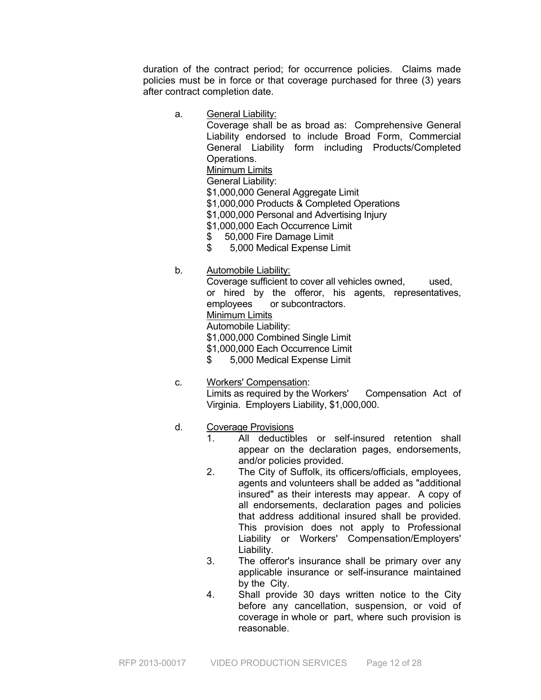duration of the contract period; for occurrence policies. Claims made policies must be in force or that coverage purchased for three (3) years after contract completion date.

a. General Liability:

 Coverage shall be as broad as: Comprehensive General Liability endorsed to include Broad Form, Commercial General Liability form including Products/Completed Operations.

Minimum Limits

General Liability:

\$1,000,000 General Aggregate Limit

\$1,000,000 Products & Completed Operations

- \$1,000,000 Personal and Advertising Injury
- \$1,000,000 Each Occurrence Limit
- \$ 50,000 Fire Damage Limit<br>\$ 5,000 Medical Expense L
- \$ 5,000 Medical Expense Limit
- b. Automobile Liability:

 Coverage sufficient to cover all vehicles owned, used, or hired by the offeror, his agents, representatives, employees or subcontractors. Minimum Limits Automobile Liability: \$1,000,000 Combined Single Limit \$1,000,000 Each Occurrence Limit

\$ 5,000 Medical Expense Limit

- c. Workers' Compensation: Limits as required by the Workers' Compensation Act of Virginia. Employers Liability, \$1,000,000.
- d. Coverage Provisions
	- 1. All deductibles or self-insured retention shall appear on the declaration pages, endorsements, and/or policies provided.
	- 2. The City of Suffolk, its officers/officials, employees, agents and volunteers shall be added as "additional insured" as their interests may appear. A copy of all endorsements, declaration pages and policies that address additional insured shall be provided. This provision does not apply to Professional Liability or Workers' Compensation/Employers' Liability.
	- 3. The offeror's insurance shall be primary over any applicable insurance or self-insurance maintained by the City.
	- 4. Shall provide 30 days written notice to the City before any cancellation, suspension, or void of coverage in whole or part, where such provision is reasonable.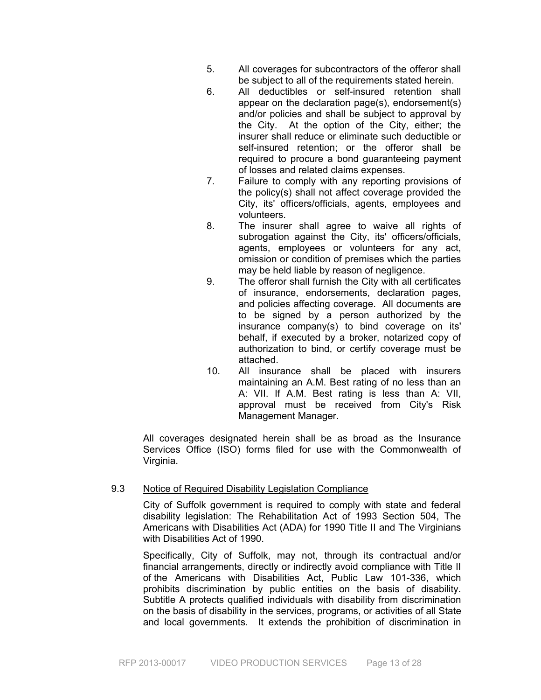- 5. All coverages for subcontractors of the offeror shall be subject to all of the requirements stated herein.
- 6. All deductibles or self-insured retention shall appear on the declaration page(s), endorsement(s) and/or policies and shall be subject to approval by the City.At the option of the City, either; the insurer shall reduce or eliminate such deductible or self-insured retention; or the offeror shall be required to procure a bond guaranteeing payment of losses and related claims expenses.
- 7. Failure to comply with any reporting provisions of the policy(s) shall not affect coverage provided the City, its' officers/officials, agents, employees and volunteers.
- 8. The insurer shall agree to waive all rights of subrogation against the City, its' officers/officials, agents, employees or volunteers for any act, omission or condition of premises which the parties may be held liable by reason of negligence.
- 9. The offeror shall furnish the City with all certificates of insurance, endorsements, declaration pages, and policies affecting coverage. All documents are to be signed by a person authorized by the insurance company(s) to bind coverage on its' behalf, if executed by a broker, notarized copy of authorization to bind, or certify coverage must be attached.
- 10. All insurance shall be placed with insurers maintaining an A.M. Best rating of no less than an A: VII. If A.M. Best rating is less than A: VII, approval must be received from City's Risk Management Manager.

All coverages designated herein shall be as broad as the Insurance Services Office (ISO) forms filed for use with the Commonwealth of Virginia.

# 9.3 Notice of Required Disability Legislation Compliance

City of Suffolk government is required to comply with state and federal disability legislation: The Rehabilitation Act of 1993 Section 504, The Americans with Disabilities Act (ADA) for 1990 Title II and The Virginians with Disabilities Act of 1990.

Specifically, City of Suffolk, may not, through its contractual and/or financial arrangements, directly or indirectly avoid compliance with Title II of the Americans with Disabilities Act, Public Law 101-336, which prohibits discrimination by public entities on the basis of disability. Subtitle A protects qualified individuals with disability from discrimination on the basis of disability in the services, programs, or activities of all State and local governments. It extends the prohibition of discrimination in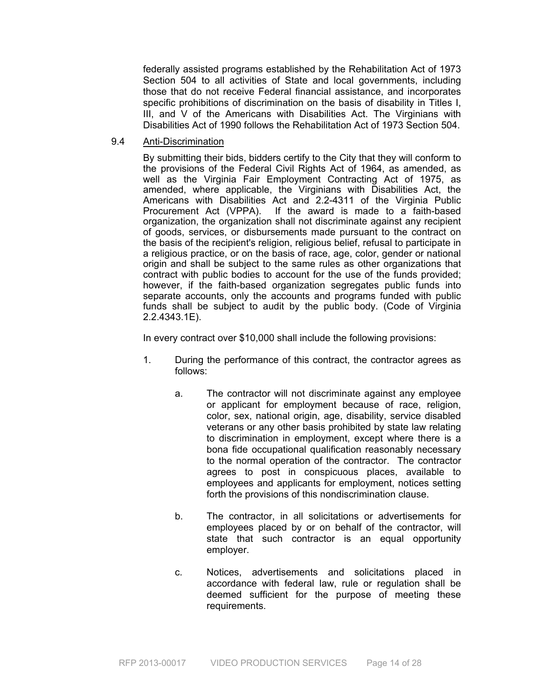federally assisted programs established by the Rehabilitation Act of 1973 Section 504 to all activities of State and local governments, including those that do not receive Federal financial assistance, and incorporates specific prohibitions of discrimination on the basis of disability in Titles I, III, and V of the Americans with Disabilities Act. The Virginians with Disabilities Act of 1990 follows the Rehabilitation Act of 1973 Section 504.

9.4 Anti-Discrimination

By submitting their bids, bidders certify to the City that they will conform to the provisions of the Federal Civil Rights Act of 1964, as amended, as well as the Virginia Fair Employment Contracting Act of 1975, as amended, where applicable, the Virginians with Disabilities Act, the Americans with Disabilities Act and 2.2-4311 of the Virginia Public Procurement Act (VPPA). If the award is made to a faith-based organization, the organization shall not discriminate against any recipient of goods, services, or disbursements made pursuant to the contract on the basis of the recipient's religion, religious belief, refusal to participate in a religious practice, or on the basis of race, age, color, gender or national origin and shall be subject to the same rules as other organizations that contract with public bodies to account for the use of the funds provided; however, if the faith-based organization segregates public funds into separate accounts, only the accounts and programs funded with public funds shall be subject to audit by the public body. (Code of Virginia 2.2.4343.1E).

In every contract over \$10,000 shall include the following provisions:

- 1. During the performance of this contract, the contractor agrees as follows:
	- a. The contractor will not discriminate against any employee or applicant for employment because of race, religion, color, sex, national origin, age, disability, service disabled veterans or any other basis prohibited by state law relating to discrimination in employment, except where there is a bona fide occupational qualification reasonably necessary to the normal operation of the contractor. The contractor agrees to post in conspicuous places, available to employees and applicants for employment, notices setting forth the provisions of this nondiscrimination clause.
	- b. The contractor, in all solicitations or advertisements for employees placed by or on behalf of the contractor, will state that such contractor is an equal opportunity employer.
	- c. Notices, advertisements and solicitations placed in accordance with federal law, rule or regulation shall be deemed sufficient for the purpose of meeting these requirements.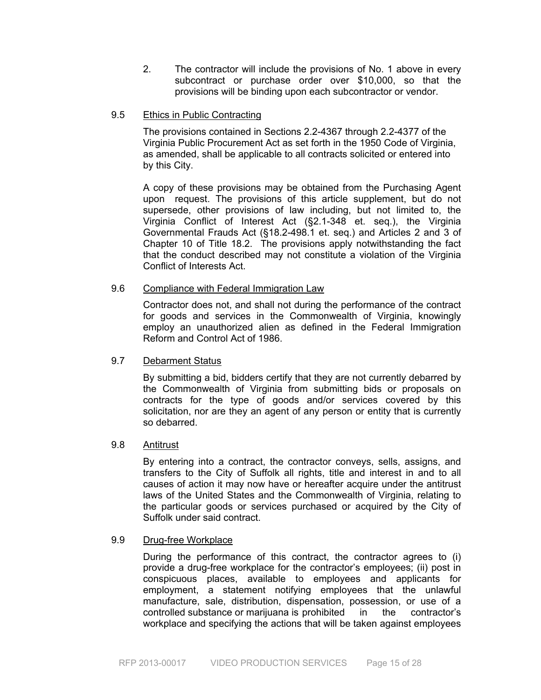2. The contractor will include the provisions of No. 1 above in every subcontract or purchase order over \$10,000, so that the provisions will be binding upon each subcontractor or vendor.

# 9.5 Ethics in Public Contracting

The provisions contained in Sections 2.2-4367 through 2.2-4377 of the Virginia Public Procurement Act as set forth in the 1950 Code of Virginia, as amended, shall be applicable to all contracts solicited or entered into by this City.

A copy of these provisions may be obtained from the Purchasing Agent upon request. The provisions of this article supplement, but do not supersede, other provisions of law including, but not limited to, the Virginia Conflict of Interest Act (§2.1-348 et. seq.), the Virginia Governmental Frauds Act (§18.2-498.1 et. seq.) and Articles 2 and 3 of Chapter 10 of Title 18.2. The provisions apply notwithstanding the fact that the conduct described may not constitute a violation of the Virginia Conflict of Interests Act.

# 9.6 Compliance with Federal Immigration Law

Contractor does not, and shall not during the performance of the contract for goods and services in the Commonwealth of Virginia, knowingly employ an unauthorized alien as defined in the Federal Immigration Reform and Control Act of 1986.

# 9.7 Debarment Status

By submitting a bid, bidders certify that they are not currently debarred by the Commonwealth of Virginia from submitting bids or proposals on contracts for the type of goods and/or services covered by this solicitation, nor are they an agent of any person or entity that is currently so debarred.

# 9.8 Antitrust

By entering into a contract, the contractor conveys, sells, assigns, and transfers to the City of Suffolk all rights, title and interest in and to all causes of action it may now have or hereafter acquire under the antitrust laws of the United States and the Commonwealth of Virginia, relating to the particular goods or services purchased or acquired by the City of Suffolk under said contract.

# 9.9 Drug-free Workplace

During the performance of this contract, the contractor agrees to (i) provide a drug-free workplace for the contractor's employees; (ii) post in conspicuous places, available to employees and applicants for employment, a statement notifying employees that the unlawful manufacture, sale, distribution, dispensation, possession, or use of a controlled substance or marijuana is prohibited in the contractor's workplace and specifying the actions that will be taken against employees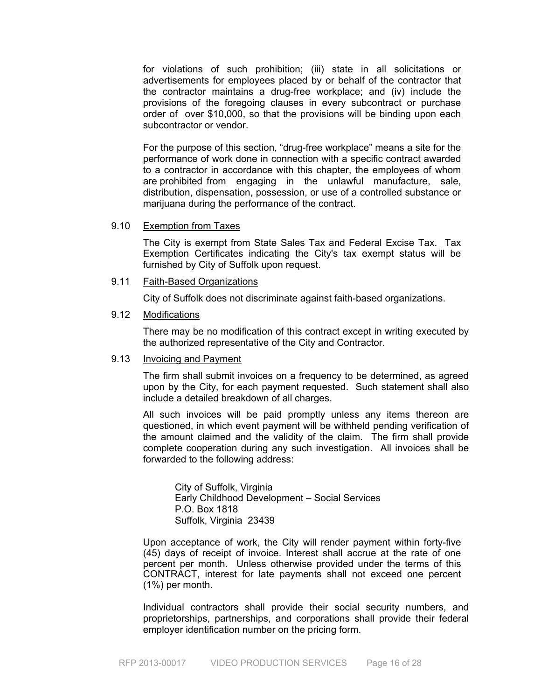for violations of such prohibition; (iii) state in all solicitations or advertisements for employees placed by or behalf of the contractor that the contractor maintains a drug-free workplace; and (iv) include the provisions of the foregoing clauses in every subcontract or purchase order of over \$10,000, so that the provisions will be binding upon each subcontractor or vendor.

For the purpose of this section, "drug-free workplace" means a site for the performance of work done in connection with a specific contract awarded to a contractor in accordance with this chapter, the employees of whom are prohibited from engaging in the unlawful manufacture, sale, distribution, dispensation, possession, or use of a controlled substance or marijuana during the performance of the contract.

### 9.10 Exemption from Taxes

 The City is exempt from State Sales Tax and Federal Excise Tax. Tax Exemption Certificates indicating the City's tax exempt status will be furnished by City of Suffolk upon request.

### 9.11 Faith-Based Organizations

City of Suffolk does not discriminate against faith-based organizations.

#### 9.12 Modifications

There may be no modification of this contract except in writing executed by the authorized representative of the City and Contractor.

# 9.13 Invoicing and Payment

 The firm shall submit invoices on a frequency to be determined, as agreed upon by the City, for each payment requested. Such statement shall also include a detailed breakdown of all charges.

All such invoices will be paid promptly unless any items thereon are questioned, in which event payment will be withheld pending verification of the amount claimed and the validity of the claim. The firm shall provide complete cooperation during any such investigation. All invoices shall be forwarded to the following address:

 City of Suffolk, Virginia Early Childhood Development – Social Services P.O. Box 1818 Suffolk, Virginia 23439

Upon acceptance of work, the City will render payment within forty-five (45) days of receipt of invoice. Interest shall accrue at the rate of one percent per month. Unless otherwise provided under the terms of this CONTRACT, interest for late payments shall not exceed one percent (1%) per month.

 Individual contractors shall provide their social security numbers, and proprietorships, partnerships, and corporations shall provide their federal employer identification number on the pricing form.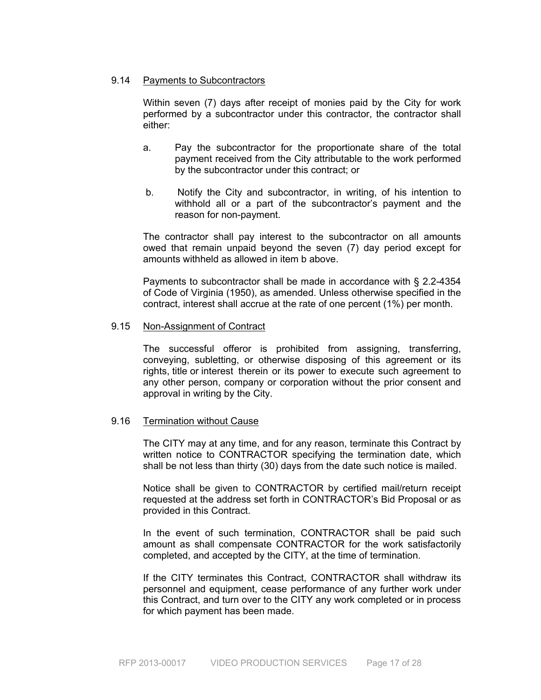### 9.14 Payments to Subcontractors

Within seven (7) days after receipt of monies paid by the City for work performed by a subcontractor under this contractor, the contractor shall either:

- a. Pay the subcontractor for the proportionate share of the total payment received from the City attributable to the work performed by the subcontractor under this contract; or
- b. Notify the City and subcontractor, in writing, of his intention to withhold all or a part of the subcontractor's payment and the reason for non-payment.

The contractor shall pay interest to the subcontractor on all amounts owed that remain unpaid beyond the seven (7) day period except for amounts withheld as allowed in item b above.

Payments to subcontractor shall be made in accordance with § 2.2-4354 of Code of Virginia (1950), as amended. Unless otherwise specified in the contract, interest shall accrue at the rate of one percent (1%) per month.

#### 9.15 Non-Assignment of Contract

The successful offeror is prohibited from assigning, transferring, conveying, subletting, or otherwise disposing of this agreement or its rights, title or interest therein or its power to execute such agreement to any other person, company or corporation without the prior consent and approval in writing by the City.

#### 9.16 Termination without Cause

The CITY may at any time, and for any reason, terminate this Contract by written notice to CONTRACTOR specifying the termination date, which shall be not less than thirty (30) days from the date such notice is mailed.

Notice shall be given to CONTRACTOR by certified mail/return receipt requested at the address set forth in CONTRACTOR's Bid Proposal or as provided in this Contract.

In the event of such termination, CONTRACTOR shall be paid such amount as shall compensate CONTRACTOR for the work satisfactorily completed, and accepted by the CITY, at the time of termination.

If the CITY terminates this Contract, CONTRACTOR shall withdraw its personnel and equipment, cease performance of any further work under this Contract, and turn over to the CITY any work completed or in process for which payment has been made.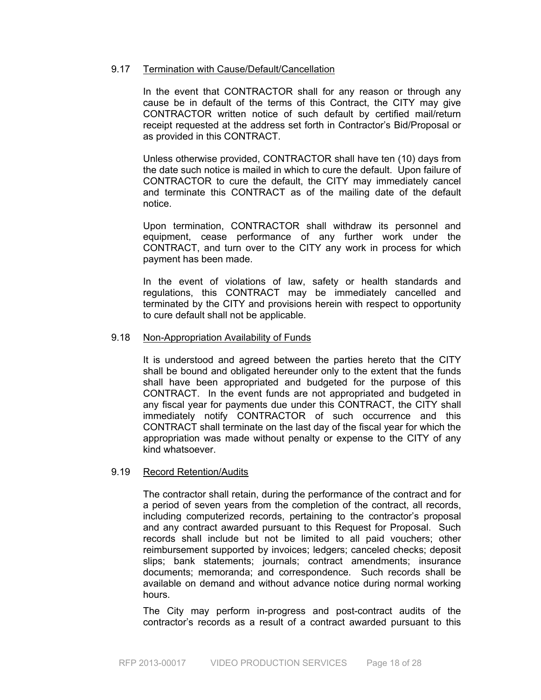### 9.17 Termination with Cause/Default/Cancellation

In the event that CONTRACTOR shall for any reason or through any cause be in default of the terms of this Contract, the CITY may give CONTRACTOR written notice of such default by certified mail/return receipt requested at the address set forth in Contractor's Bid/Proposal or as provided in this CONTRACT.

Unless otherwise provided, CONTRACTOR shall have ten (10) days from the date such notice is mailed in which to cure the default. Upon failure of CONTRACTOR to cure the default, the CITY may immediately cancel and terminate this CONTRACT as of the mailing date of the default notice.

Upon termination, CONTRACTOR shall withdraw its personnel and equipment, cease performance of any further work under the CONTRACT, and turn over to the CITY any work in process for which payment has been made.

In the event of violations of law, safety or health standards and regulations, this CONTRACT may be immediately cancelled and terminated by the CITY and provisions herein with respect to opportunity to cure default shall not be applicable.

#### 9.18 Non-Appropriation Availability of Funds

It is understood and agreed between the parties hereto that the CITY shall be bound and obligated hereunder only to the extent that the funds shall have been appropriated and budgeted for the purpose of this CONTRACT. In the event funds are not appropriated and budgeted in any fiscal year for payments due under this CONTRACT, the CITY shall immediately notify CONTRACTOR of such occurrence and this CONTRACT shall terminate on the last day of the fiscal year for which the appropriation was made without penalty or expense to the CITY of any kind whatsoever.

#### 9.19 Record Retention/Audits

The contractor shall retain, during the performance of the contract and for a period of seven years from the completion of the contract, all records, including computerized records, pertaining to the contractor's proposal and any contract awarded pursuant to this Request for Proposal. Such records shall include but not be limited to all paid vouchers; other reimbursement supported by invoices; ledgers; canceled checks; deposit slips; bank statements; journals; contract amendments; insurance documents; memoranda; and correspondence. Such records shall be available on demand and without advance notice during normal working hours.

The City may perform in-progress and post-contract audits of the contractor's records as a result of a contract awarded pursuant to this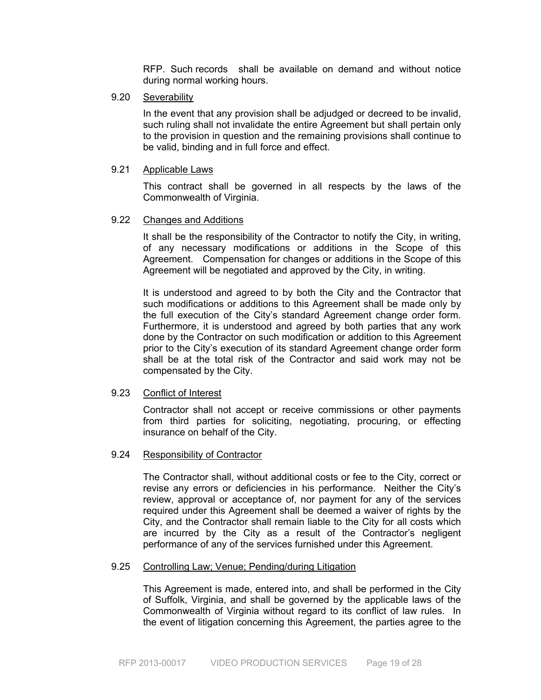RFP. Such records shall be available on demand and without notice during normal working hours.

9.20 Severability

In the event that any provision shall be adjudged or decreed to be invalid, such ruling shall not invalidate the entire Agreement but shall pertain only to the provision in question and the remaining provisions shall continue to be valid, binding and in full force and effect.

9.21 Applicable Laws

This contract shall be governed in all respects by the laws of the Commonwealth of Virginia.

#### 9.22 Changes and Additions

It shall be the responsibility of the Contractor to notify the City, in writing, of any necessary modifications or additions in the Scope of this Agreement. Compensation for changes or additions in the Scope of this Agreement will be negotiated and approved by the City, in writing.

It is understood and agreed to by both the City and the Contractor that such modifications or additions to this Agreement shall be made only by the full execution of the City's standard Agreement change order form. Furthermore, it is understood and agreed by both parties that any work done by the Contractor on such modification or addition to this Agreement prior to the City's execution of its standard Agreement change order form shall be at the total risk of the Contractor and said work may not be compensated by the City.

### 9.23 Conflict of Interest

Contractor shall not accept or receive commissions or other payments from third parties for soliciting, negotiating, procuring, or effecting insurance on behalf of the City.

#### 9.24 Responsibility of Contractor

The Contractor shall, without additional costs or fee to the City, correct or revise any errors or deficiencies in his performance. Neither the City's review, approval or acceptance of, nor payment for any of the services required under this Agreement shall be deemed a waiver of rights by the City, and the Contractor shall remain liable to the City for all costs which are incurred by the City as a result of the Contractor's negligent performance of any of the services furnished under this Agreement.

#### 9.25 Controlling Law; Venue; Pending/during Litigation

This Agreement is made, entered into, and shall be performed in the City of Suffolk, Virginia, and shall be governed by the applicable laws of the Commonwealth of Virginia without regard to its conflict of law rules. In the event of litigation concerning this Agreement, the parties agree to the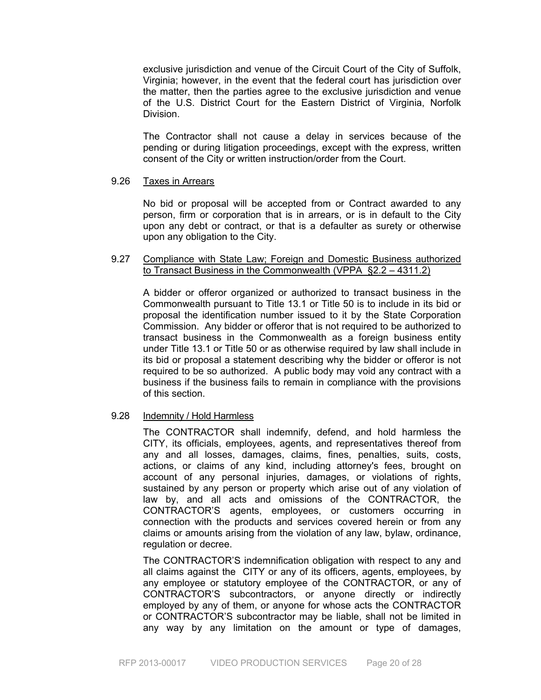exclusive jurisdiction and venue of the Circuit Court of the City of Suffolk, Virginia; however, in the event that the federal court has jurisdiction over the matter, then the parties agree to the exclusive jurisdiction and venue of the U.S. District Court for the Eastern District of Virginia, Norfolk Division.

The Contractor shall not cause a delay in services because of the pending or during litigation proceedings, except with the express, written consent of the City or written instruction/order from the Court.

# 9.26 Taxes in Arrears

No bid or proposal will be accepted from or Contract awarded to any person, firm or corporation that is in arrears, or is in default to the City upon any debt or contract, or that is a defaulter as surety or otherwise upon any obligation to the City.

# 9.27 Compliance with State Law; Foreign and Domestic Business authorized to Transact Business in the Commonwealth (VPPA §2.2 – 4311.2)

 A bidder or offeror organized or authorized to transact business in the Commonwealth pursuant to Title 13.1 or Title 50 is to include in its bid or proposal the identification number issued to it by the State Corporation Commission. Any bidder or offeror that is not required to be authorized to transact business in the Commonwealth as a foreign business entity under Title 13.1 or Title 50 or as otherwise required by law shall include in its bid or proposal a statement describing why the bidder or offeror is not required to be so authorized. A public body may void any contract with a business if the business fails to remain in compliance with the provisions of this section.

### 9.28 Indemnity / Hold Harmless

The CONTRACTOR shall indemnify, defend, and hold harmless the CITY, its officials, employees, agents, and representatives thereof from any and all losses, damages, claims, fines, penalties, suits, costs, actions, or claims of any kind, including attorney's fees, brought on account of any personal injuries, damages, or violations of rights, sustained by any person or property which arise out of any violation of law by, and all acts and omissions of the CONTRACTOR, the CONTRACTOR'S agents, employees, or customers occurring in connection with the products and services covered herein or from any claims or amounts arising from the violation of any law, bylaw, ordinance, regulation or decree.

The CONTRACTOR'S indemnification obligation with respect to any and all claims against the CITY or any of its officers, agents, employees, by any employee or statutory employee of the CONTRACTOR, or any of CONTRACTOR'S subcontractors, or anyone directly or indirectly employed by any of them, or anyone for whose acts the CONTRACTOR or CONTRACTOR'S subcontractor may be liable, shall not be limited in any way by any limitation on the amount or type of damages,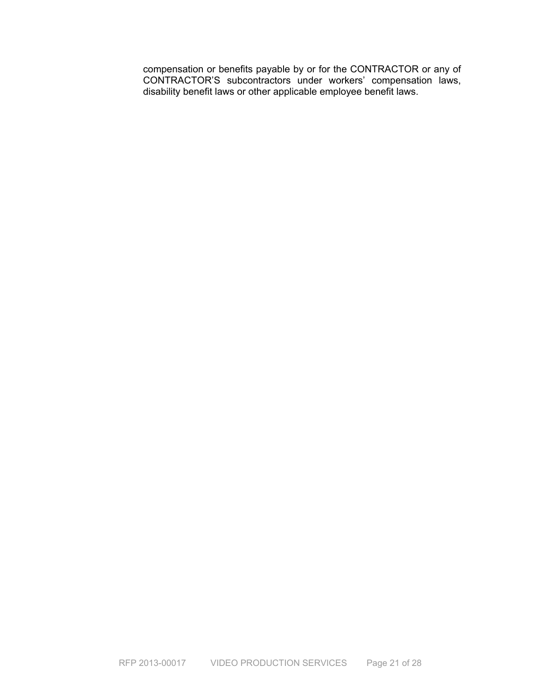compensation or benefits payable by or for the CONTRACTOR or any of CONTRACTOR'S subcontractors under workers' compensation laws, disability benefit laws or other applicable employee benefit laws.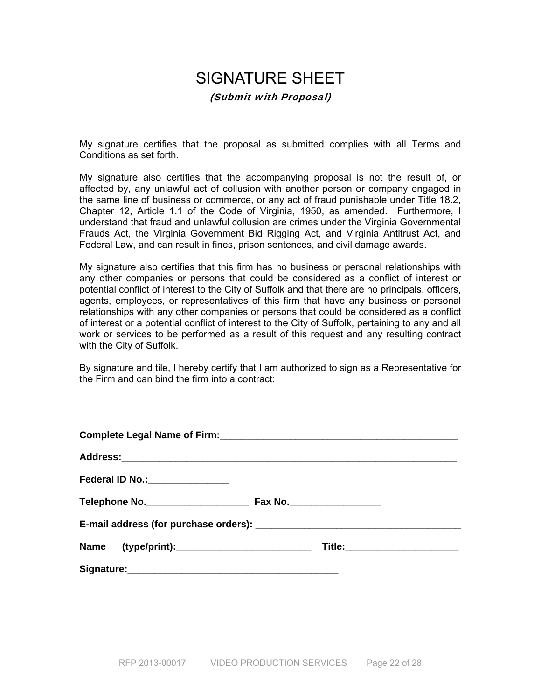# SIGNATURE SHEET (Submit with Proposal)

My signature certifies that the proposal as submitted complies with all Terms and Conditions as set forth.

My signature also certifies that the accompanying proposal is not the result of, or affected by, any unlawful act of collusion with another person or company engaged in the same line of business or commerce, or any act of fraud punishable under Title 18.2, Chapter 12, Article 1.1 of the Code of Virginia, 1950, as amended. Furthermore, I understand that fraud and unlawful collusion are crimes under the Virginia Governmental Frauds Act, the Virginia Government Bid Rigging Act, and Virginia Antitrust Act, and Federal Law, and can result in fines, prison sentences, and civil damage awards.

My signature also certifies that this firm has no business or personal relationships with any other companies or persons that could be considered as a conflict of interest or potential conflict of interest to the City of Suffolk and that there are no principals, officers, agents, employees, or representatives of this firm that have any business or personal relationships with any other companies or persons that could be considered as a conflict of interest or a potential conflict of interest to the City of Suffolk, pertaining to any and all work or services to be performed as a result of this request and any resulting contract with the City of Suffolk.

By signature and tile, I hereby certify that I am authorized to sign as a Representative for the Firm and can bind the firm into a contract:

| Title:_______________________ |
|-------------------------------|
|                               |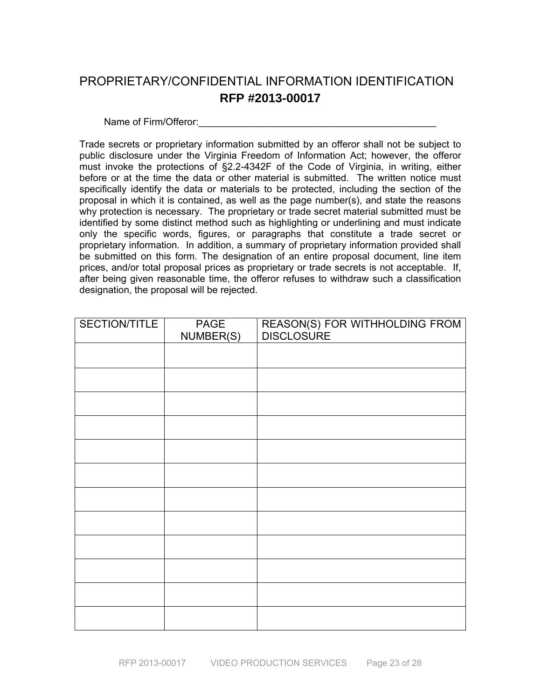# PROPRIETARY/CONFIDENTIAL INFORMATION IDENTIFICATION **RFP #2013-00017**

Name of Firm/Offeror:

Trade secrets or proprietary information submitted by an offeror shall not be subject to public disclosure under the Virginia Freedom of Information Act; however, the offeror must invoke the protections of §2.2-4342F of the Code of Virginia, in writing, either before or at the time the data or other material is submitted. The written notice must specifically identify the data or materials to be protected, including the section of the proposal in which it is contained, as well as the page number(s), and state the reasons why protection is necessary. The proprietary or trade secret material submitted must be identified by some distinct method such as highlighting or underlining and must indicate only the specific words, figures, or paragraphs that constitute a trade secret or proprietary information. In addition, a summary of proprietary information provided shall be submitted on this form. The designation of an entire proposal document, line item prices, and/or total proposal prices as proprietary or trade secrets is not acceptable. If, after being given reasonable time, the offeror refuses to withdraw such a classification designation, the proposal will be rejected.

| SECTION/TITLE | <b>PAGE</b><br>NUMBER(S) | REASON(S) FOR WITHHOLDING FROM<br>DISCLOSURE |
|---------------|--------------------------|----------------------------------------------|
|               |                          |                                              |
|               |                          |                                              |
|               |                          |                                              |
|               |                          |                                              |
|               |                          |                                              |
|               |                          |                                              |
|               |                          |                                              |
|               |                          |                                              |
|               |                          |                                              |
|               |                          |                                              |
|               |                          |                                              |
|               |                          |                                              |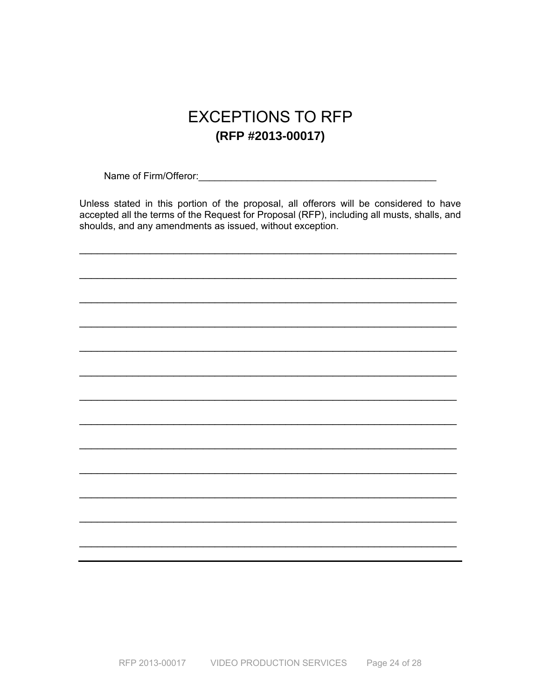# **EXCEPTIONS TO RFP** (RFP #2013-00017)

Name of Firm/Offeror: Manual Account of Firm/Offeror:

Unless stated in this portion of the proposal, all offerors will be considered to have accepted all the terms of the Request for Proposal (RFP), including all musts, shalls, and shoulds, and any amendments as issued, without exception.

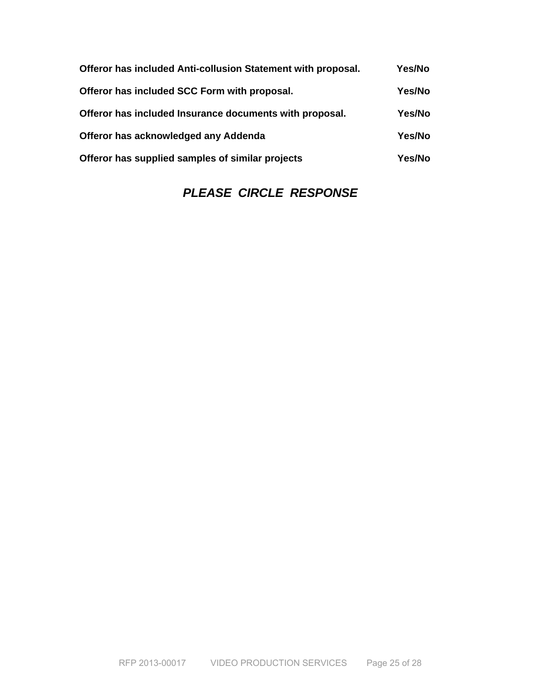| Offeror has included Anti-collusion Statement with proposal. | Yes/No        |
|--------------------------------------------------------------|---------------|
| Offeror has included SCC Form with proposal.                 | <b>Yes/No</b> |
| Offeror has included Insurance documents with proposal.      | Yes/No        |
| Offeror has acknowledged any Addenda                         | Yes/No        |
| Offeror has supplied samples of similar projects             | Yes/No        |

# *PLEASE CIRCLE RESPONSE*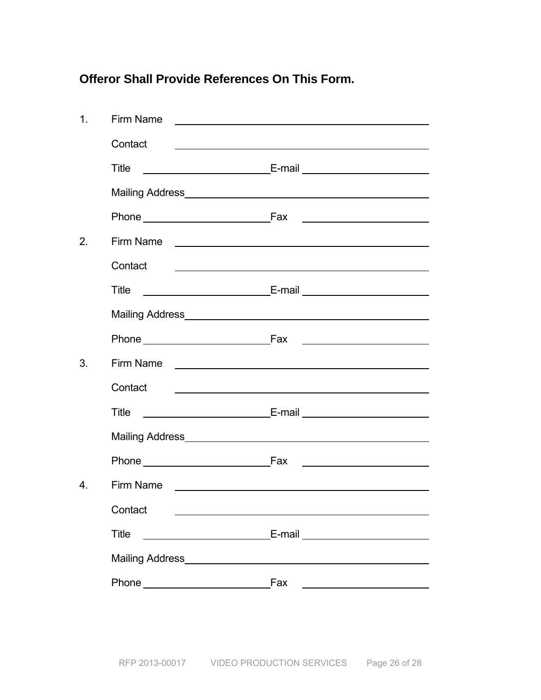# **Offeror Shall Provide References On This Form.**

| Firm Name                                                                                                                                                                                                                           |                                                                                                                                                                                                                                      |  |
|-------------------------------------------------------------------------------------------------------------------------------------------------------------------------------------------------------------------------------------|--------------------------------------------------------------------------------------------------------------------------------------------------------------------------------------------------------------------------------------|--|
| Contact                                                                                                                                                                                                                             | <u>state and the state of the state of the state of the state of the state of the state of the state of the state of the state of the state of the state of the state of the state of the state of the state of the state of the</u> |  |
| <b>Title</b>                                                                                                                                                                                                                        |                                                                                                                                                                                                                                      |  |
|                                                                                                                                                                                                                                     |                                                                                                                                                                                                                                      |  |
|                                                                                                                                                                                                                                     |                                                                                                                                                                                                                                      |  |
| Firm Name <u>experience</u> and the second service of the service of the service of the service of the service of the service of the service of the service of the service of the service of the service of the service of the serv |                                                                                                                                                                                                                                      |  |
| Contact                                                                                                                                                                                                                             | <u> 1989 - Johann Barn, amerikansk politiker (* 1908)</u>                                                                                                                                                                            |  |
| Title                                                                                                                                                                                                                               |                                                                                                                                                                                                                                      |  |
|                                                                                                                                                                                                                                     |                                                                                                                                                                                                                                      |  |
|                                                                                                                                                                                                                                     |                                                                                                                                                                                                                                      |  |
|                                                                                                                                                                                                                                     |                                                                                                                                                                                                                                      |  |
| Contact                                                                                                                                                                                                                             | <u> 1989 - Johann Stein, mars an deutscher Stein und der Stein und der Stein und der Stein und der Stein und der</u>                                                                                                                 |  |
| Title                                                                                                                                                                                                                               |                                                                                                                                                                                                                                      |  |
|                                                                                                                                                                                                                                     |                                                                                                                                                                                                                                      |  |
|                                                                                                                                                                                                                                     | <u> 1989 - Johann Barbara, martin a</u>                                                                                                                                                                                              |  |
| Firm Name <u>____________________________</u>                                                                                                                                                                                       |                                                                                                                                                                                                                                      |  |
| Contact ___                                                                                                                                                                                                                         |                                                                                                                                                                                                                                      |  |
| <b>Title</b>                                                                                                                                                                                                                        |                                                                                                                                                                                                                                      |  |
|                                                                                                                                                                                                                                     |                                                                                                                                                                                                                                      |  |
|                                                                                                                                                                                                                                     | Fax                                                                                                                                                                                                                                  |  |
|                                                                                                                                                                                                                                     | <u> 1980 - Johann Barn, mars an t-Amerikaansk kommunister (</u>                                                                                                                                                                      |  |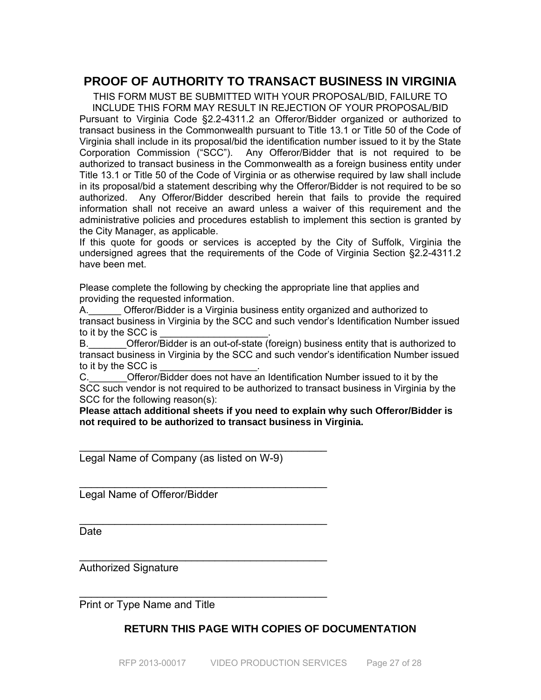# **PROOF OF AUTHORITY TO TRANSACT BUSINESS IN VIRGINIA**

THIS FORM MUST BE SUBMITTED WITH YOUR PROPOSAL/BID, FAILURE TO INCLUDE THIS FORM MAY RESULT IN REJECTION OF YOUR PROPOSAL/BID Pursuant to Virginia Code §2.2-4311.2 an Offeror/Bidder organized or authorized to transact business in the Commonwealth pursuant to Title 13.1 or Title 50 of the Code of Virginia shall include in its proposal/bid the identification number issued to it by the State Corporation Commission ("SCC"). Any Offeror/Bidder that is not required to be authorized to transact business in the Commonwealth as a foreign business entity under Title 13.1 or Title 50 of the Code of Virginia or as otherwise required by law shall include in its proposal/bid a statement describing why the Offeror/Bidder is not required to be so authorized. Any Offeror/Bidder described herein that fails to provide the required information shall not receive an award unless a waiver of this requirement and the administrative policies and procedures establish to implement this section is granted by the City Manager, as applicable.

If this quote for goods or services is accepted by the City of Suffolk, Virginia the undersigned agrees that the requirements of the Code of Virginia Section §2.2-4311.2 have been met.

Please complete the following by checking the appropriate line that applies and providing the requested information.

A. Cfferor/Bidder is a Virginia business entity organized and authorized to transact business in Virginia by the SCC and such vendor's Identification Number issued to it by the SCC is

B.\_\_\_\_\_\_\_Offeror/Bidder is an out-of-state (foreign) business entity that is authorized to transact business in Virginia by the SCC and such vendor's identification Number issued to it by the SCC is

C. C. Circle Offeror/Bidder does not have an Identification Number issued to it by the SCC such vendor is not required to be authorized to transact business in Virginia by the SCC for the following reason(s):

**Please attach additional sheets if you need to explain why such Offeror/Bidder is not required to be authorized to transact business in Virginia.** 

Legal Name of Company (as listed on W-9)

\_\_\_\_\_\_\_\_\_\_\_\_\_\_\_\_\_\_\_\_\_\_\_\_\_\_\_\_\_\_\_\_\_\_\_\_\_\_\_\_\_\_

 $\mathcal{L}_\text{max}$  , we can also assume that the contract of  $\mathcal{L}_\text{max}$ 

\_\_\_\_\_\_\_\_\_\_\_\_\_\_\_\_\_\_\_\_\_\_\_\_\_\_\_\_\_\_\_\_\_\_\_\_\_\_\_\_\_\_

 $\mathcal{L}_\text{max}$  , we can also assume that the contract of  $\mathcal{L}_\text{max}$ 

 $\mathcal{L}_\text{max}$  , we can also assume that the contract of  $\mathcal{L}_\text{max}$ 

Legal Name of Offeror/Bidder

**Date** 

Authorized Signature

Print or Type Name and Title

# **RETURN THIS PAGE WITH COPIES OF DOCUMENTATION**